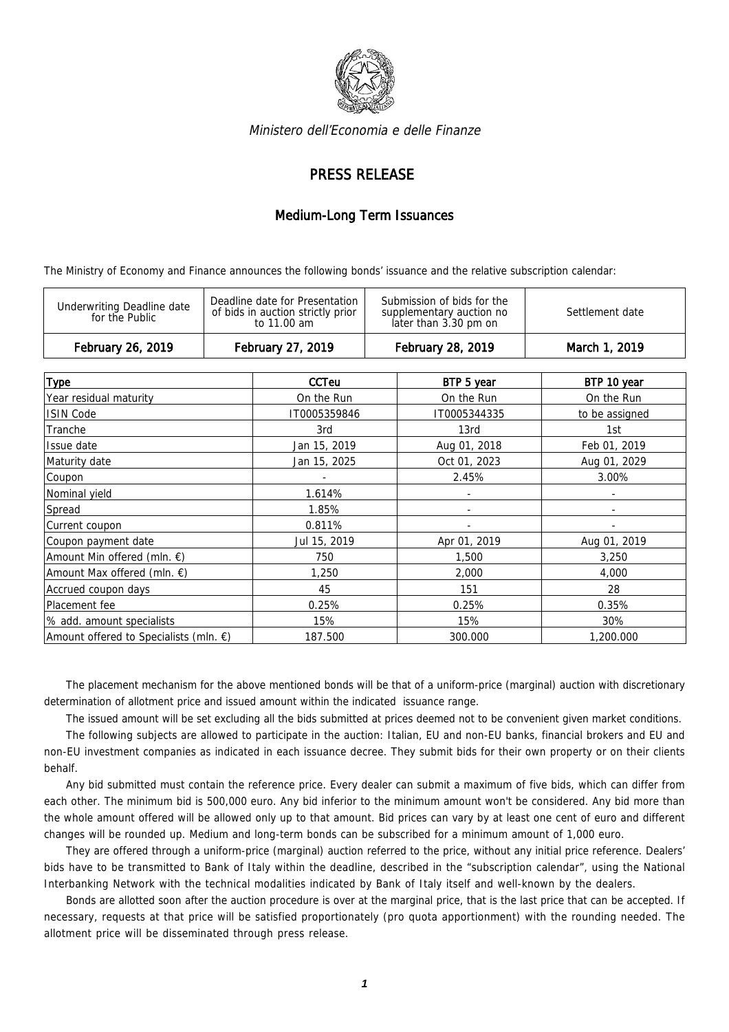

Ministero dell'Economia e delle Finanze

## PRESS RELEASE

## Medium-Long Term Issuances

The Ministry of Economy and Finance announces the following bonds' issuance and the relative subscription calendar:

| February 26, 2019                            | February 27, 2019                                                                  | February 28, 2019                                                               | March 1, 2019   |
|----------------------------------------------|------------------------------------------------------------------------------------|---------------------------------------------------------------------------------|-----------------|
| Underwriting Deadline date<br>for the Public | Deadline date for Presentation<br>of bids in auction strictly prior<br>to 11.00 am | Submission of bids for the<br>supplementary auction no<br>later than 3.30 pm on | Settlement date |

| <b>Type</b>                                      | <b>CCTeu</b> | BTP 5 year   | BTP 10 year    |
|--------------------------------------------------|--------------|--------------|----------------|
| Year residual maturity                           | On the Run   | On the Run   | On the Run     |
| <b>ISIN Code</b>                                 | IT0005359846 | IT0005344335 | to be assigned |
| Tranche                                          | 3rd          | 13rd         | 1st            |
| Issue date                                       | Jan 15, 2019 | Aug 01, 2018 | Feb 01, 2019   |
| Maturity date                                    | Jan 15, 2025 | Oct 01, 2023 | Aug 01, 2029   |
| Coupon                                           |              | 2.45%        | 3.00%          |
| Nominal yield                                    | 1.614%       |              |                |
| Spread                                           | 1.85%        |              |                |
| Current coupon                                   | 0.811%       |              |                |
| Coupon payment date                              | Jul 15, 2019 | Apr 01, 2019 | Aug 01, 2019   |
| Amount Min offered (mln. €)                      | 750          | 1,500        | 3,250          |
| Amount Max offered (mln. €)                      | 1,250        | 2,000        | 4,000          |
| Accrued coupon days                              | 45           | 151          | 28             |
| Placement fee                                    | 0.25%        | 0.25%        | 0.35%          |
| % add. amount specialists                        | 15%          | 15%          | 30%            |
| Amount offered to Specialists (mln. $\epsilon$ ) | 187.500      | 300.000      | 1,200.000      |

The placement mechanism for the above mentioned bonds will be that of a uniform-price (marginal) auction with discretionary determination of allotment price and issued amount within the indicated issuance range.

The issued amount will be set excluding all the bids submitted at prices deemed not to be convenient given market conditions.

The following subjects are allowed to participate in the auction: Italian, EU and non-EU banks, financial brokers and EU and non-EU investment companies as indicated in each issuance decree. They submit bids for their own property or on their clients behalf.

Any bid submitted must contain the reference price. Every dealer can submit a maximum of five bids, which can differ from each other. The minimum bid is 500,000 euro. Any bid inferior to the minimum amount won't be considered. Any bid more than the whole amount offered will be allowed only up to that amount. Bid prices can vary by at least one cent of euro and different changes will be rounded up. Medium and long-term bonds can be subscribed for a minimum amount of 1,000 euro.

They are offered through a uniform-price (marginal) auction referred to the price, without any initial price reference. Dealers' bids have to be transmitted to Bank of Italy within the deadline, described in the "subscription calendar", using the National Interbanking Network with the technical modalities indicated by Bank of Italy itself and well-known by the dealers.

Bonds are allotted soon after the auction procedure is over at the marginal price, that is the last price that can be accepted. If necessary, requests at that price will be satisfied proportionately (pro quota apportionment) with the rounding needed. The allotment price will be disseminated through press release.